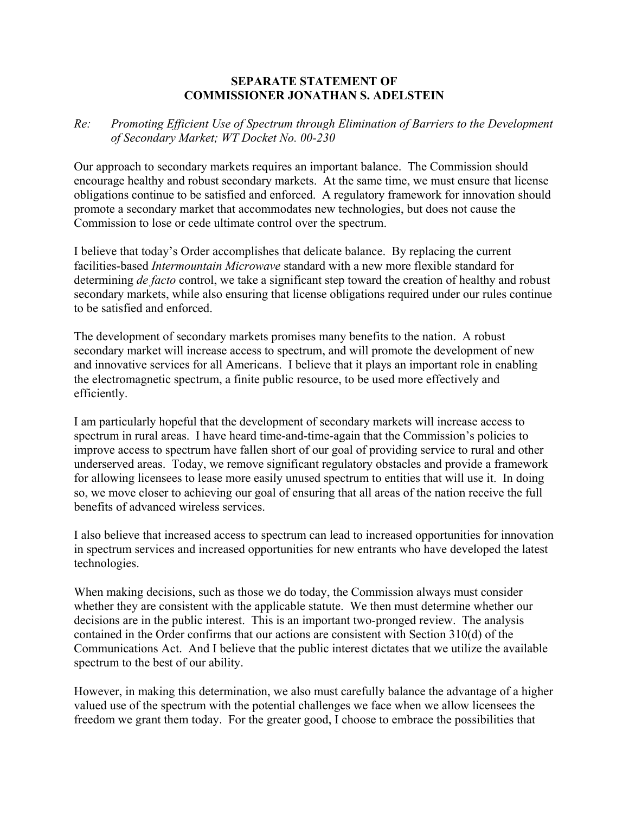## **SEPARATE STATEMENT OF COMMISSIONER JONATHAN S. ADELSTEIN**

## *Re: Promoting Efficient Use of Spectrum through Elimination of Barriers to the Development of Secondary Market; WT Docket No. 00-230*

Our approach to secondary markets requires an important balance. The Commission should encourage healthy and robust secondary markets. At the same time, we must ensure that license obligations continue to be satisfied and enforced. A regulatory framework for innovation should promote a secondary market that accommodates new technologies, but does not cause the Commission to lose or cede ultimate control over the spectrum.

I believe that today's Order accomplishes that delicate balance. By replacing the current facilities-based *Intermountain Microwave* standard with a new more flexible standard for determining *de facto* control, we take a significant step toward the creation of healthy and robust secondary markets, while also ensuring that license obligations required under our rules continue to be satisfied and enforced.

The development of secondary markets promises many benefits to the nation. A robust secondary market will increase access to spectrum, and will promote the development of new and innovative services for all Americans. I believe that it plays an important role in enabling the electromagnetic spectrum, a finite public resource, to be used more effectively and efficiently.

I am particularly hopeful that the development of secondary markets will increase access to spectrum in rural areas. I have heard time-and-time-again that the Commission's policies to improve access to spectrum have fallen short of our goal of providing service to rural and other underserved areas. Today, we remove significant regulatory obstacles and provide a framework for allowing licensees to lease more easily unused spectrum to entities that will use it. In doing so, we move closer to achieving our goal of ensuring that all areas of the nation receive the full benefits of advanced wireless services.

I also believe that increased access to spectrum can lead to increased opportunities for innovation in spectrum services and increased opportunities for new entrants who have developed the latest technologies.

When making decisions, such as those we do today, the Commission always must consider whether they are consistent with the applicable statute. We then must determine whether our decisions are in the public interest. This is an important two-pronged review. The analysis contained in the Order confirms that our actions are consistent with Section 310(d) of the Communications Act. And I believe that the public interest dictates that we utilize the available spectrum to the best of our ability.

However, in making this determination, we also must carefully balance the advantage of a higher valued use of the spectrum with the potential challenges we face when we allow licensees the freedom we grant them today. For the greater good, I choose to embrace the possibilities that